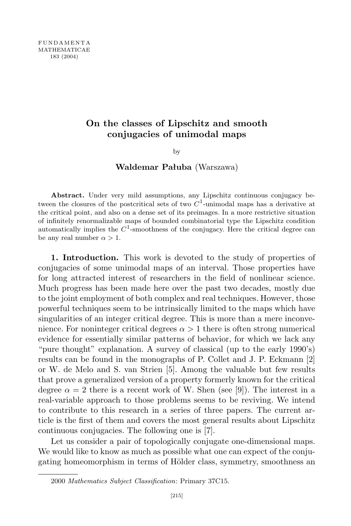## **On the classes of Lipschitz and smooth conjugacies of unimodal maps**

by

## **Waldemar Pałuba** (Warszawa)

**Abstract.** Under very mild assumptions, any Lipschitz continuous conjugacy between the closures of the postcritical sets of two *C* 1 -unimodal maps has a derivative at the critical point, and also on a dense set of its preimages. In a more restrictive situation of infinitely renormalizable maps of bounded combinatorial type the Lipschitz condition automatically implies the  $C^1$ -smoothness of the conjugacy. Here the critical degree can be any real number  $\alpha > 1$ .

**1. Introduction.** This work is devoted to the study of properties of conjugacies of some unimodal maps of an interval. Those properties have for long attracted interest of researchers in the field of nonlinear science. Much progress has been made here over the past two decades, mostly due to the joint employment of both complex and real techniques. However, those powerful techniques seem to be intrinsically limited to the maps which have singularities of an integer critical degree. This is more than a mere inconvenience. For noninteger critical degrees  $\alpha > 1$  there is often strong numerical evidence for essentially similar patterns of behavior, for which we lack any "pure thought" explanation. A survey of classical (up to the early 1990's) results can be found in the monographs of P. Collet and J. P. Eckmann [2] or W. de Melo and S. van Strien [5]. Among the valuable but few results that prove a generalized version of a property formerly known for the critical degree  $\alpha = 2$  there is a recent work of W. Shen (see [9]). The interest in a real-variable approach to those problems seems to be reviving. We intend to contribute to this research in a series of three papers. The current article is the first of them and covers the most general results about Lipschitz continuous conjugacies. The following one is [7].

Let us consider a pair of topologically conjugate one-dimensional maps. We would like to know as much as possible what one can expect of the conjugating homeomorphism in terms of Hölder class, symmetry, smoothness an

<sup>2000</sup> *Mathematics Subject Classification*: Primary 37C15.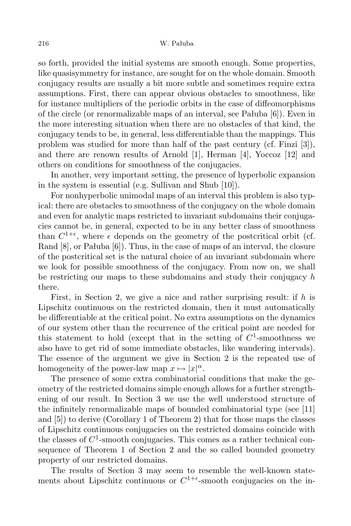## 216 W. Pałuba

so forth, provided the initial systems are smooth enough. Some properties, like quasisymmetry for instance, are sought for on the whole domain. Smooth conjugacy results are usually a bit more subtle and sometimes require extra assumptions. First, there can appear obvious obstacles to smoothness, like for instance multipliers of the periodic orbits in the case of diffeomorphisms of the circle (or renormalizable maps of an interval, see Pałuba [6]). Even in the more interesting situation when there are no obstacles of that kind, the conjugacy tends to be, in general, less differentiable than the mappings. This problem was studied for more than half of the past century (cf. Finzi [3]), and there are renown results of Arnold [1], Herman [4], Yoccoz [12] and others on conditions for smoothness of the conjugacies.

In another, very important setting, the presence of hyperbolic expansion in the system is essential (e.g. Sullivan and Shub [10]).

For nonhyperbolic unimodal maps of an interval this problem is also typical: there are obstacles to smoothness of the conjugacy on the whole domain and even for analytic maps restricted to invariant subdomains their conjugacies cannot be, in general, expected to be in any better class of smoothness than  $C^{1+\epsilon}$ , where  $\epsilon$  depends on the geometry of the postcritical orbit (cf. Rand [8], or Pałuba [6]). Thus, in the case of maps of an interval, the closure of the postcritical set is the natural choice of an invariant subdomain where we look for possible smoothness of the conjugacy. From now on, we shall be restricting our maps to these subdomains and study their conjugacy *h* there.

First, in Section 2, we give a nice and rather surprising result: if *h* is Lipschitz continuous on the restricted domain, then it must automatically be differentiable at the critical point. No extra assumptions on the dynamics of our system other than the recurrence of the critical point are needed for this statement to hold (except that in the setting of  $C^1$ -smoothness we also have to get rid of some immediate obstacles, like wandering intervals). The essence of the argument we give in Section 2 is the repeated use of homogeneity of the power-law map  $x \mapsto |x|^{\alpha}$ .

The presence of some extra combinatorial conditions that make the geometry of the restricted domains simple enough allows for a further strengthening of our result. In Section 3 we use the well understood structure of the infinitely renormalizable maps of bounded combinatorial type (see [11] and [5]) to derive (Corollary 1 of Theorem 2) that for those maps the classes of Lipschitz continuous conjugacies on the restricted domains coincide with the classes of  $C^1$ -smooth conjugacies. This comes as a rather technical consequence of Theorem 1 of Section 2 and the so called bounded geometry property of our restricted domains.

The results of Section 3 may seem to resemble the well-known statements about Lipschitz continuous or  $C^{1+\epsilon}$ -smooth conjugacies on the in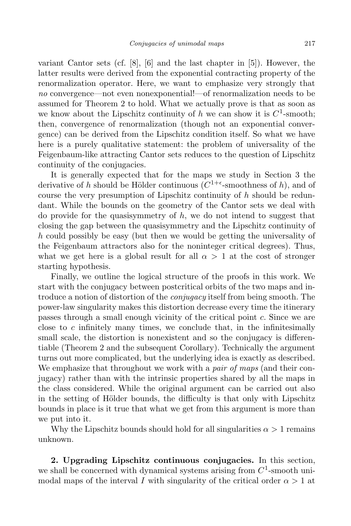variant Cantor sets (cf. [8], [6] and the last chapter in [5]). However, the latter results were derived from the exponential contracting property of the renormalization operator. Here, we want to emphasize very strongly that *no* convergence—not even nonexponential!—of renormalization needs to be assumed for Theorem 2 to hold. What we actually prove is that as soon as we know about the Lipschitz continuity of  $h$  we can show it is  $C^1$ -smooth; then, convergence of renormalization (though not an exponential convergence) can be derived from the Lipschitz condition itself. So what we have here is a purely qualitative statement: the problem of universality of the Feigenbaum-like attracting Cantor sets reduces to the question of Lipschitz continuity of the conjugacies.

It is generally expected that for the maps we study in Section 3 the derivative of *h* should be Hölder continuous  $(C^{1+\epsilon}$ -smoothness of *h*), and of course the very presumption of Lipschitz continuity of *h* should be redundant. While the bounds on the geometry of the Cantor sets we deal with do provide for the quasisymmetry of *h*, we do not intend to suggest that closing the gap between the quasisymmetry and the Lipschitz continuity of *h* could possibly be easy (but then we would be getting the universality of the Feigenbaum attractors also for the noninteger critical degrees). Thus, what we get here is a global result for all  $\alpha > 1$  at the cost of stronger starting hypothesis.

Finally, we outline the logical structure of the proofs in this work. We start with the conjugacy between postcritical orbits of the two maps and introduce a notion of distortion of the *conjugacy* itself from being smooth. The power-law singularity makes this distortion decrease every time the itinerary passes through a small enough vicinity of the critical point *c*. Since we are close to *c* infinitely many times, we conclude that, in the infinitesimally small scale, the distortion is nonexistent and so the conjugacy is differentiable (Theorem 2 and the subsequent Corollary). Technically the argument turns out more complicated, but the underlying idea is exactly as described. We emphasize that throughout we work with a *pair of maps* (and their conjugacy) rather than with the intrinsic properties shared by all the maps in the class considered. While the original argument can be carried out also in the setting of Hölder bounds, the difficulty is that only with Lipschitz bounds in place is it true that what we get from this argument is more than we put into it.

Why the Lipschitz bounds should hold for all singularities  $\alpha > 1$  remains unknown.

**2. Upgrading Lipschitz continuous conjugacies.** In this section, we shall be concerned with dynamical systems arising from  $C^1$ -smooth unimodal maps of the interval *I* with singularity of the critical order  $\alpha > 1$  at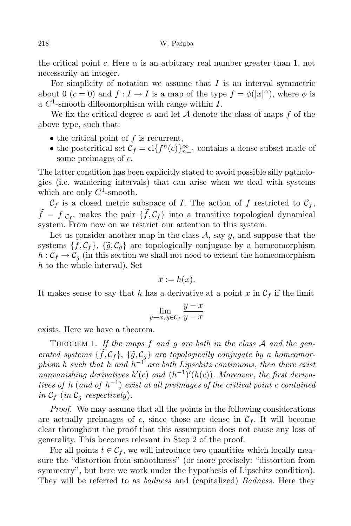the critical point *c*. Here  $\alpha$  is an arbitrary real number greater than 1, not necessarily an integer.

For simplicity of notation we assume that *I* is an interval symmetric about 0 ( $c = 0$ ) and  $f : I \to I$  is a map of the type  $f = \phi(|x|^\alpha)$ , where  $\phi$  is a *C* 1 -smooth diffeomorphism with range within *I*.

We fix the critical degree  $\alpha$  and let  $\mathcal A$  denote the class of maps  $f$  of the above type, such that:

- *•* the critical point of *f* is recurrent,
- the postcritical set  $C_f = \text{cl}\lbrace f^n(c)\rbrace_{n=1}^{\infty}$  contains a dense subset made of some preimages of *c*.

The latter condition has been explicitly stated to avoid possible silly pathologies (i.e. wandering intervals) that can arise when we deal with systems which are only  $C^1$ -smooth.

 $C_f$  is a closed metric subspace of *I*. The action of *f* restricted to  $C_f$ ,  $f = f|_{\mathcal{C}_{f}}$ , makes the pair  $\{f, \mathcal{C}_{f}\}$  into a transitive topological dynamical system. From now on we restrict our attention to this system.

Let us consider another map in the class  $A$ , say  $q$ , and suppose that the systems  $\{\tilde{f}, C_f\}$ ,  $\{\tilde{g}, C_q\}$  are topologically conjugate by a homeomorphism  $h: \mathcal{C}_f \to \mathcal{C}_g$  (in this section we shall not need to extend the homeomorphism *h* to the whole interval). Set

$$
\overline{x} := h(x).
$$

It makes sense to say that *h* has a derivative at a point *x* in  $\mathcal{C}_f$  if the limit

$$
\lim_{y \to x, y \in \mathcal{C}_f} \frac{\overline{y} - \overline{x}}{y - x}
$$

exists. Here we have a theorem.

THEOREM 1. If the maps f and g are both in the class A and the gen*erated systems*  $\{f, C_f\}$ ,  $\{\tilde{g}, C_g\}$  *are topologically conjugate by a homeomorphism h such that h and h <sup>−</sup>*<sup>1</sup> *are both Lipschitz continuous*, *then there exist nonvanishing derivatives*  $h'(c)$  *and*  $(h^{-1})'(h(c))$ *. Moreover, the first derivatives of h* (*and of h −*1 ) *exist at all preimages of the critical point c contained in*  $C_f$  (*in*  $C_g$  *respectively*).

*Proof.* We may assume that all the points in the following considerations are actually preimages of  $c$ , since those are dense in  $\mathcal{C}_f$ . It will become clear throughout the proof that this assumption does not cause any loss of generality. This becomes relevant in Step 2 of the proof.

For all points  $t \in \mathcal{C}_f$ , we will introduce two quantities which locally measure the "distortion from smoothness" (or more precisely: "distortion from symmetry", but here we work under the hypothesis of Lipschitz condition). They will be referred to as *badness* and (capitalized) *Badness*. Here they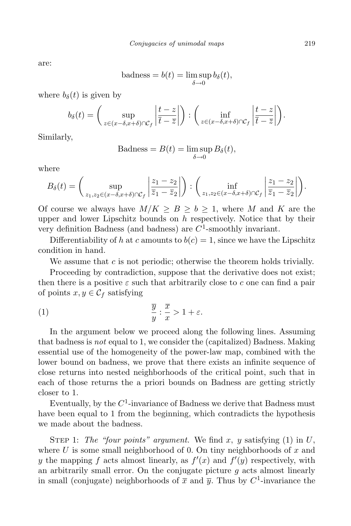are:

badness = 
$$
b(t)
$$
 =  $\limsup_{\delta \to 0} b_{\delta}(t)$ ,

where  $b_{\delta}(t)$  is given by

$$
b_{\delta}(t) = \left(\sup_{z \in (x-\delta, x+\delta) \cap C_{f}} \left| \frac{t-z}{\overline{t}-\overline{z}} \right| \right) : \left(\inf_{z \in (x-\delta, x+\delta) \cap C_{f}} \left| \frac{t-z}{\overline{t}-\overline{z}} \right| \right).
$$

Similarly,

$$
\text{Badness} = B(t) = \limsup_{\delta \to 0} B_{\delta}(t),
$$

where

$$
B_{\delta}(t) = \left(\sup_{z_1, z_2 \in (x-\delta, x+\delta) \cap \mathcal{C}_f} \left| \frac{z_1 - z_2}{\overline{z}_1 - \overline{z}_2} \right|\right) : \left(\inf_{z_1, z_2 \in (x-\delta, x+\delta) \cap \mathcal{C}_f} \left| \frac{z_1 - z_2}{\overline{z}_1 - \overline{z}_2} \right|\right).
$$

Of course we always have  $M/K \geq B \geq b \geq 1$ , where M and K are the upper and lower Lipschitz bounds on *h* respectively. Notice that by their very definition Badness (and badness) are *C* 1 -smoothly invariant.

Differentiability of *h* at *c* amounts to  $b(c) = 1$ , since we have the Lipschitz condition in hand.

We assume that *c* is not periodic; otherwise the theorem holds trivially.

Proceeding by contradiction, suppose that the derivative does not exist; then there is a positive  $\varepsilon$  such that arbitrarily close to  $c$  one can find a pair of points  $x, y \in C_f$  satisfying

(1) 
$$
\frac{\overline{y}}{y} : \frac{\overline{x}}{x} > 1 + \varepsilon.
$$

In the argument below we proceed along the following lines. Assuming that badness is *not* equal to 1, we consider the (capitalized) Badness. Making essential use of the homogeneity of the power-law map, combined with the lower bound on badness, we prove that there exists an infinite sequence of close returns into nested neighborhoods of the critical point, such that in each of those returns the a priori bounds on Badness are getting strictly closer to 1.

Eventually, by the  $C^1$ -invariance of Badness we derive that Badness must have been equal to 1 from the beginning, which contradicts the hypothesis we made about the badness.

STEP 1: The "four points" argument. We find x, y satisfying  $(1)$  in U, where *U* is some small neighborhood of 0. On tiny neighborhoods of *x* and *y* the mapping *f* acts almost linearly, as  $f'(x)$  and  $f'(y)$  respectively, with an arbitrarily small error. On the conjugate picture *g* acts almost linearly in small (conjugate) neighborhoods of  $\bar{x}$  and  $\bar{y}$ . Thus by  $C^1$ -invariance the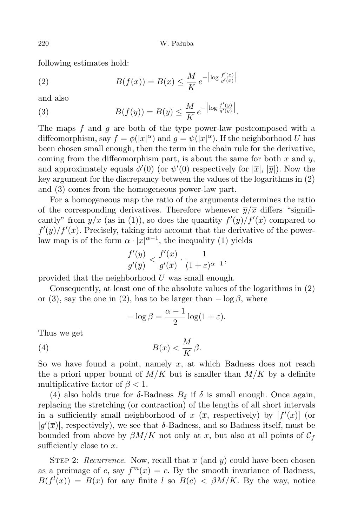following estimates hold:

(2) 
$$
B(f(x)) = B(x) \le \frac{M}{K} e^{-\left|\log \frac{f'(x)}{g'(\bar{x})}\right|}
$$

and also

(3) 
$$
B(f(y)) = B(y) \le \frac{M}{K} e^{-\left|\log \frac{f'(y)}{g'(y)}\right|}.
$$

The maps *f* and *g* are both of the type power-law postcomposed with a diffeomorphism, say  $f = \phi(|x|^\alpha)$  and  $g = \psi(|x|^\alpha)$ . If the neighborhood *U* has been chosen small enough, then the term in the chain rule for the derivative, coming from the diffeomorphism part, is about the same for both *x* and *y*, and approximately equals  $\phi'(0)$  (or  $\psi'(0)$  respectively for  $|\overline{x}|, |\overline{y}|$ ). Now the key argument for the discrepancy between the values of the logarithms in (2) and (3) comes from the homogeneous power-law part.

For a homogeneous map the ratio of the arguments determines the ratio of the corresponding derivatives. Therefore whenever  $\overline{y}/\overline{x}$  differs "significantly" from  $y/x$  (as in (1)), so does the quantity  $f'(\overline{y})/f'(\overline{x})$  compared to  $f'(y)/f'(x)$ . Precisely, taking into account that the derivative of the powerlaw map is of the form  $\alpha \cdot |x|^{\alpha-1}$ , the inequality (1) yields

$$
\frac{f'(y)}{g'(\overline{y})} < \frac{f'(x)}{g'(\overline{x})} \cdot \frac{1}{(1+\varepsilon)^{\alpha-1}},
$$

provided that the neighborhood *U* was small enough.

Consequently, at least one of the absolute values of the logarithms in (2) or (3), say the one in (2), has to be larger than  $-\log \beta$ , where

$$
-\log \beta = \frac{\alpha - 1}{2} \log(1 + \varepsilon).
$$

Thus we get

$$
(4) \t\t B(x) < \frac{M}{K}\beta.
$$

So we have found a point, namely *x*, at which Badness does not reach the a priori upper bound of  $M/K$  but is smaller than  $M/K$  by a definite multiplicative factor of  $\beta$  < 1.

(4) also holds true for  $\delta$ -Badness  $B_{\delta}$  if  $\delta$  is small enough. Once again, replacing the stretching (or contraction) of the lengths of all short intervals in a sufficiently small neighborhood of *x* ( $\overline{x}$ , respectively) by  $|f'(x)|$  (or  $|g'(\overline{x})|$ , respectively), we see that *δ*-Badness, and so Badness itself, must be bounded from above by  $\beta M/K$  not only at x, but also at all points of  $C_f$ sufficiently close to *x*.

STEP 2: *Recurrence.* Now, recall that x (and y) could have been chosen as a preimage of *c*, say  $f^{m}(x) = c$ . By the smooth invariance of Badness,  $B(f^{l}(x)) = B(x)$  for any finite *l* so  $B(c) < \beta M/K$ . By the way, notice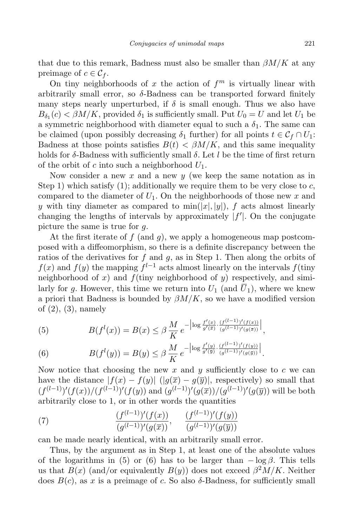that due to this remark, Badness must also be smaller than  $\beta M/K$  at any preimage of  $c \in C_f$ .

On tiny neighborhoods of  $x$  the action of  $f<sup>m</sup>$  is virtually linear with arbitrarily small error, so *δ*-Badness can be transported forward finitely many steps nearly unperturbed, if  $\delta$  is small enough. Thus we also have  $B_{\delta_1}(c) < \beta M/K$ , provided  $\delta_1$  is sufficiently small. Put  $U_0 = U$  and let  $U_1$  be a symmetric neighborhood with diameter equal to such a  $\delta_1$ . The same can be claimed (upon possibly decreasing  $\delta_1$  further) for all points  $t \in C_f \cap U_1$ : Badness at those points satisfies  $B(t) < \beta M/K$ , and this same inequality holds for *δ*-Badness with sufficiently small *δ*. Let *l* be the time of first return of the orbit of *c* into such a neighborhood *U*1.

Now consider a new *x* and a new *y* (we keep the same notation as in Step 1) which satisfy  $(1)$ ; additionally we require them to be very close to *c*, compared to the diameter of  $U_1$ . On the neighborhoods of those new  $x$  and *y* with tiny diameter as compared to  $\min(|x|, |y|)$ , *f* acts almost linearly changing the lengths of intervals by approximately  $|f'|$ . On the conjugate picture the same is true for *g*.

At the first iterate of *f* (and *g*), we apply a homogeneous map postcomposed with a diffeomorphism, so there is a definite discrepancy between the ratios of the derivatives for *f* and *g*, as in Step 1. Then along the orbits of *f*(*x*) and *f*(*y*) the mapping  $f^{l-1}$  acts almost linearly on the intervals *f*(tiny) neighborhood of  $x$ ) and  $f$ (tiny neighborhood of  $y$ ) respectively, and similarly for *g*. However, this time we return into  $U_1$  (and  $\overline{U}_1$ ), where we knew a priori that Badness is bounded by  $\beta M/K$ , so we have a modified version of (2), (3), namely

(5) 
$$
B(f^{l}(x)) = B(x) \leq \beta \frac{M}{K} e^{-\left|\log \frac{f'(x)}{g'(\bar{x})} \cdot \frac{(f^{(l-1)})'(f(x))}{(g^{(l-1)})'(g(\bar{x}))}\right|},
$$

(6) 
$$
B(f^{l}(y)) = B(y) \leq \beta \frac{M}{K} e^{-\left|\log \frac{f'(y)}{g'(\overline{y})} \cdot \frac{(f^{(l-1)})'(f(y))}{(g^{(l-1)})'(g(\overline{y}))}\right|}.
$$

Now notice that choosing the new *x* and *y* sufficiently close to *c* we can have the distance  $|f(x) - f(y)|$  ( $|g(\overline{x}) - g(\overline{y})|$ , respectively) so small that  $(f^{(l-1)})'(f(x))/(f^{(l-1)})'(f(y))$  and  $(g^{(l-1)})'(g(\overline{x}))/(g^{(l-1)})'(g(\overline{y}))$  will be both arbitrarily close to 1, or in other words the quantities

(7) 
$$
\frac{(f^{(l-1)})'(f(x))}{(g^{(l-1)})'(g(\overline{x}))}, \quad \frac{(f^{(l-1)})'(f(y))}{(g^{(l-1)})'(g(\overline{y}))}
$$

can be made nearly identical, with an arbitrarily small error.

Thus, by the argument as in Step 1, at least one of the absolute values of the logarithms in (5) or (6) has to be larger than  $-\log \beta$ . This tells us that  $B(x)$  (and/or equivalently  $B(y)$ ) does not exceed  $\beta^2 M/K$ . Neither does  $B(c)$ , as x is a preimage of c. So also  $\delta$ -Badness, for sufficiently small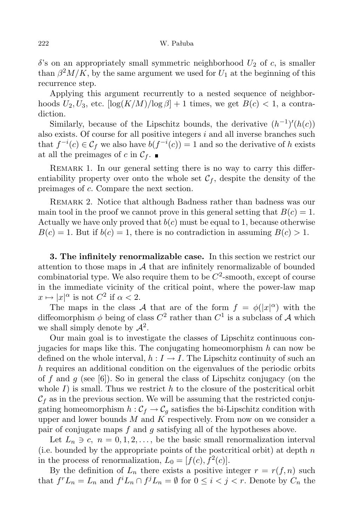$\delta$ 's on an appropriately small symmetric neighborhood  $U_2$  of *c*, is smaller than  $\beta^2 M/K$ , by the same argument we used for  $U_1$  at the beginning of this recurrence step.

Applying this argument recurrently to a nested sequence of neighborhoods  $U_2, U_3$ , etc.  $\left[\log(K/M)/\log\beta\right] + 1$  times, we get  $B(c) < 1$ , a contradiction.

Similarly, because of the Lipschitz bounds, the derivative  $(h^{-1})'(h(c))$ also exists. Of course for all positive integers *i* and all inverse branches such that  $f^{-i}(c) \in C_f$  we also have  $b(f^{-i}(c)) = 1$  and so the derivative of *h* exists at all the preimages of *c* in  $C_f$ .

REMARK 1. In our general setting there is no way to carry this differentiability property over onto the whole set  $\mathcal{C}_f$ , despite the density of the preimages of *c*. Compare the next section.

Remark 2. Notice that although Badness rather than badness was our main tool in the proof we cannot prove in this general setting that  $B(c) = 1$ . Actually we have only proved that  $b(c)$  must be equal to 1, because otherwise  $B(c) = 1$ . But if  $b(c) = 1$ , there is no contradiction in assuming  $B(c) > 1$ .

**3. The infinitely renormalizable case.** In this section we restrict our attention to those maps in *A* that are infinitely renormalizable of bounded  $\alpha$  combinatorial type. We also require them to be  $C^2$ -smooth, except of course in the immediate vicinity of the critical point, where the power-law map  $x \mapsto |x|^{\alpha}$  is not  $C^2$  if  $\alpha < 2$ .

The maps in the class *A* that are of the form  $f = \phi(|x|^{\alpha})$  with the diffeomorphism  $\phi$  being of class  $C^2$  rather than  $C^1$  is a subclass of *A* which we shall simply denote by  $\mathcal{A}^2$ .

Our main goal is to investigate the classes of Lipschitz continuous conjugacies for maps like this. The conjugating homeomorphism *h* can now be defined on the whole interval,  $h: I \to I$ . The Lipschitz continuity of such an *h* requires an additional condition on the eigenvalues of the periodic orbits of *f* and *g* (see [6]). So in general the class of Lipschitz conjugacy (on the whole  $I$ ) is small. Thus we restrict  $h$  to the closure of the postcritical orbit  $\mathcal{C}_f$  as in the previous section. We will be assuming that the restricted conjugating homeomorphism  $h : C_f \to C_g$  satisfies the bi-Lipschitz condition with upper and lower bounds *M* and *K* respectively. From now on we consider a pair of conjugate maps *f* and *g* satisfying all of the hypotheses above.

Let  $L_n \ni c, n = 0, 1, 2, \ldots$ , be the basic small renormalization interval (i.e. bounded by the appropriate points of the postcritical orbit) at depth *n* in the process of renormalization,  $L_0 = [f(c), f^2(c)]$ .

By the definition of  $L_n$  there exists a positive integer  $r = r(f, n)$  such that  $f^r L_n = L_n$  and  $f^i L_n \cap f^j L_n = \emptyset$  for  $0 \leq i < j < r$ . Denote by  $C_n$  the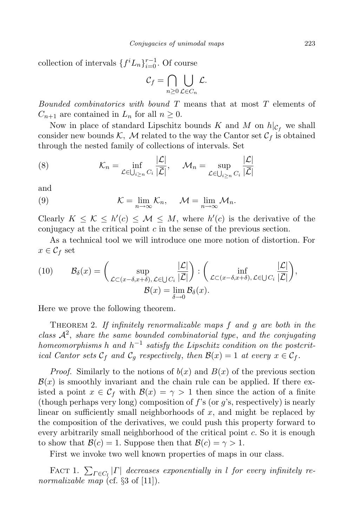collection of intervals  $\{f^i L_n\}_{i=0}^{r-1}$ . Of course

$$
\mathcal{C}_f = \bigcap_{n \geq 0} \bigcup_{\mathcal{L} \in C_n} \mathcal{L}.
$$

*Bounded combinatorics with bound T* means that at most *T* elements of  $C_{n+1}$  are contained in  $L_n$  for all  $n \geq 0$ .

Now in place of standard Lipschitz bounds *K* and *M* on  $h|_{\mathcal{C}_f}$  we shall consider new bounds  $K$ ,  $M$  related to the way the Cantor set  $C_f$  is obtained through the nested family of collections of intervals. Set

(8) 
$$
\mathcal{K}_n = \inf_{\mathcal{L} \in \bigcup_{i \ge n} C_i} \frac{|\mathcal{L}|}{|\mathcal{L}|}, \quad \mathcal{M}_n = \sup_{\mathcal{L} \in \bigcup_{i \ge n} C_i} \frac{|\mathcal{L}|}{|\mathcal{L}|}
$$

and

(9) 
$$
\mathcal{K} = \lim_{n \to \infty} \mathcal{K}_n, \quad \mathcal{M} = \lim_{n \to \infty} \mathcal{M}_n.
$$

Clearly  $K \leq K \leq h'(c) \leq M \leq M$ , where  $h'(c)$  is the derivative of the conjugacy at the critical point *c* in the sense of the previous section.

As a technical tool we will introduce one more notion of distortion. For  $x \in \mathcal{C}_f$  set

(10) 
$$
\mathcal{B}_{\delta}(x) = \begin{pmatrix} \sup_{\mathcal{L} \subset (x-\delta,x+\delta), \, \mathcal{L} \in \bigcup C_i} \frac{|\mathcal{L}|}{|\mathcal{L}|} \end{pmatrix} : \begin{pmatrix} \inf_{\mathcal{L} \subset (x-\delta,x+\delta), \, \mathcal{L} \in \bigcup C_i} \frac{|\mathcal{L}|}{|\mathcal{L}|} \end{pmatrix}, \\ \mathcal{B}(x) = \lim_{\delta \to 0} \mathcal{B}_{\delta}(x).
$$

Here we prove the following theorem.

Theorem 2. *If infinitely renormalizable maps f and g are both in the class <sup>A</sup>*<sup>2</sup> , *share the same bounded combinatorial type*, *and the conjugating homeomorphisms h and h −*1 *satisfy the Lipschitz condition on the postcritical Cantor sets*  $C_f$  *and*  $C_g$  *respectively, then*  $B(x) = 1$  *at every*  $x \in C_f$ .

*Proof.* Similarly to the notions of  $b(x)$  and  $B(x)$  of the previous section  $B(x)$  is smoothly invariant and the chain rule can be applied. If there existed a point  $x \in C_f$  with  $\mathcal{B}(x) = \gamma > 1$  then since the action of a finite (though perhaps very long) composition of *f*'s (or *g*'s, respectively) is nearly linear on sufficiently small neighborhoods of *x*, and might be replaced by the composition of the derivatives, we could push this property forward to every arbitrarily small neighborhood of the critical point *c*. So it is enough to show that  $\mathcal{B}(c) = 1$ . Suppose then that  $\mathcal{B}(c) = \gamma > 1$ .

First we invoke two well known properties of maps in our class.

FACT 1.  $\sum_{\Gamma \in C_l} |\Gamma|$  decreases exponentially in *l* for every infinitely re*normalizable map* (cf. *§*3 of [11]).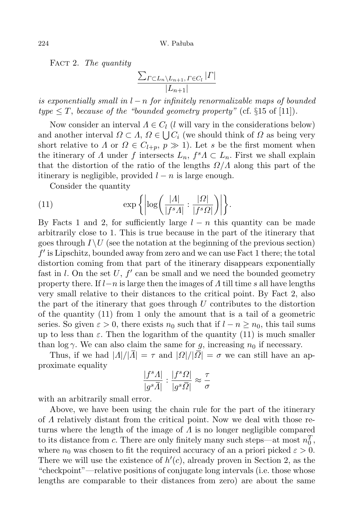Fact 2. *The quantity*

$$
\frac{\sum_{\Gamma \subset L_n \setminus L_{n+1}, \Gamma \in C_l} |\Gamma|}{|L_{n+1}|}
$$

*is exponentially small in l − n for infinitely renormalizable maps of bounded*  $type \leq T$ , *because of the "bounded geometry property"* (cf.  $\S15$  of [11])*.* 

Now consider an interval  $\Lambda \in C_l$  (*l* will vary in the considerations below) and another interval  $\Omega \subset \Lambda$ ,  $\Omega \in \bigcup C_i$  (we should think of  $\Omega$  as being very short relative to *Λ* or  $\Omega \in C_{l+p}, p \gg 1$ ). Let *s* be the first moment when the itinerary of *Λ* under *f* intersects  $L_n$ ,  $f^s A \subset L_n$ . First we shall explain that the distortion of the ratio of the lengths *Ω/Λ* along this part of the itinerary is negligible, provided *l − n* is large enough.

Consider the quantity

(11) 
$$
\exp\left\{\left|\log\left(\frac{|A|}{|f^s A|}:\frac{|Q|}{|f^s Q|}\right)\right|\right\}.
$$

By Facts 1 and 2, for sufficiently large *l − n* this quantity can be made arbitrarily close to 1. This is true because in the part of the itinerary that goes through  $I \setminus U$  (see the notation at the beginning of the previous section)  $f'$  is Lipschitz, bounded away from zero and we can use Fact 1 there; the total distortion coming from that part of the itinerary disappears exponentially fast in  $l$ . On the set  $U$ ,  $f'$  can be small and we need the bounded geometry property there. If *l−n* is large then the images of *Λ* till time *s* all have lengths very small relative to their distances to the critical point. By Fact 2, also the part of the itinerary that goes through *U* contributes to the distortion of the quantity (11) from 1 only the amount that is a tail of a geometric series. So given  $\varepsilon > 0$ , there exists  $n_0$  such that if  $l - n \geq n_0$ , this tail sums up to less than  $\varepsilon$ . Then the logarithm of the quantity (11) is much smaller than  $\log \gamma$ . We can also claim the same for *g*, increasing  $n_0$  if necessary.

Thus, if we had  $|A|/|\overline{A}| = \tau$  and  $|B|/|\overline{B}| = \sigma$  we can still have an approximate equality

$$
\frac{|f^sA|}{|g^s\overline{A}|}:\frac{|f^s\varOmega|}{|g^s\overline{\varOmega}|}\approx\frac{\tau}{\sigma}
$$

with an arbitrarily small error.

Above, we have been using the chain rule for the part of the itinerary of *Λ* relatively distant from the critical point. Now we deal with those returns where the length of the image of *Λ* is no longer negligible compared to its distance from *c*. There are only finitely many such steps—at most  $n_0^T$ , where  $n_0$  was chosen to fit the required accuracy of an a priori picked  $\varepsilon > 0$ . There we will use the existence of  $h'(c)$ , already proven in Section 2, as the "checkpoint"—relative positions of conjugate long intervals (i.e. those whose lengths are comparable to their distances from zero) are about the same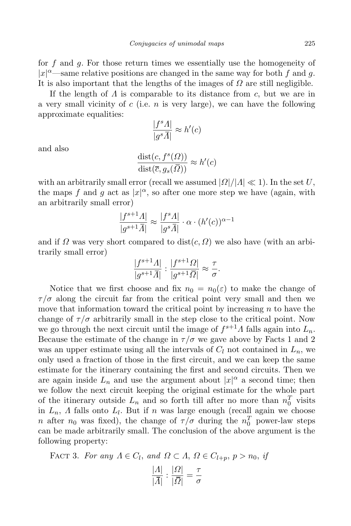for *f* and *g*. For those return times we essentially use the homogeneity of  $|x|^{\alpha}$ —same relative positions are changed in the same way for both *f* and *g*. It is also important that the lengths of the images of *Ω* are still negligible.

If the length of *Λ* is comparable to its distance from *c*, but we are in a very small vicinity of *c* (i.e. *n* is very large), we can have the following approximate equalities:

$$
\frac{|f^s A|}{|g^s \overline{A}|} \approx h'(c)
$$

and also

$$
\frac{\text{dist}(c, f^s(\Omega))}{\text{dist}(\overline{c}, g_s(\overline{\Omega}))} \approx h'(c)
$$

with an arbitrarily small error (recall we assumed  $|Q|/|A| \ll 1$ ). In the set *U*, the maps  $f$  and  $g$  act as  $|x|^{\alpha}$ , so after one more step we have (again, with an arbitrarily small error)

$$
\frac{|f^{s+1}A|}{|g^{s+1}\overline{A}|} \approx \frac{|f^sA|}{|g^s\overline{A}|} \cdot \alpha \cdot (h'(c))^{\alpha-1}
$$

and if  $\Omega$  was very short compared to dist $(c, \Omega)$  we also have (with an arbitrarily small error)

$$
\frac{|f^{s+1}A|}{|g^{s+1}\overline{A}|} : \frac{|f^{s+1}\Omega|}{|g^{s+1}\overline{\Omega}|} \approx \frac{\tau}{\sigma}.
$$

Notice that we first choose and fix  $n_0 = n_0(\varepsilon)$  to make the change of  $\tau/\sigma$  along the circuit far from the critical point very small and then we move that information toward the critical point by increasing *n* to have the change of  $\tau/\sigma$  arbitrarily small in the step close to the critical point. Now we go through the next circuit until the image of  $f^{s+1}A$  falls again into  $L_n$ . Because the estimate of the change in  $\tau/\sigma$  we gave above by Facts 1 and 2 was an upper estimate using all the intervals of  $C_l$  not contained in  $L_n$ , we only used a fraction of those in the first circuit, and we can keep the same estimate for the itinerary containing the first and second circuits. Then we are again inside  $L_n$  and use the argument about  $|x|^\alpha$  a second time; then we follow the next circuit keeping the original estimate for the whole part of the itinerary outside  $L_n$  and so forth till after no more than  $n_0^T$  visits in *Ln*, *Λ* falls onto *L<sup>l</sup>* . But if *n* was large enough (recall again we choose *n* after  $n_0$  was fixed), the change of  $\tau/\sigma$  during the  $n_0^T$  power-law steps can be made arbitrarily small. The conclusion of the above argument is the following property:

**FACT 3.** For any  $\Lambda \in C_l$ , and  $\Omega \subset \Lambda$ ,  $\Omega \in C_{l+p}$ ,  $p > n_0$ , if

$$
\frac{|A|}{|\overline{A}|} : \frac{|Q|}{|\overline{Q}|} = \frac{\tau}{\sigma}
$$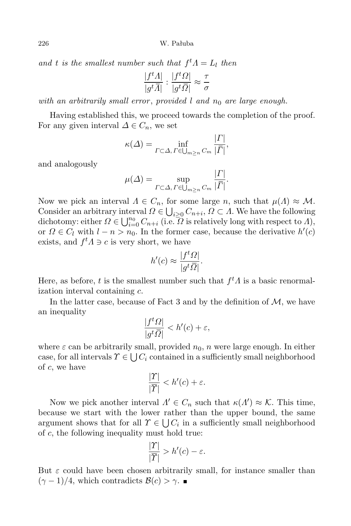226 W. Pałuba

*and t is the smallest number such that*  $f<sup>t</sup>$ *Λ* = *L*<sub>*l*</sub> *then* 

$$
\frac{|f^t A|}{|g^t \overline{A}|} : \frac{|f^t \Omega|}{|g^t \overline{\Omega}|} \approx \frac{\tau}{\sigma}
$$

*with an arbitrarily small error* , *provided l and n*<sup>0</sup> *are large enough.*

Having established this, we proceed towards the completion of the proof. For any given interval  $\Delta \in C_n$ , we set

$$
\kappa(\Delta) = \inf_{\Gamma \subset \Delta, \Gamma \in \bigcup_{m \ge n} C_m} \frac{|\Gamma|}{|\overline{\Gamma}|},
$$

and analogously

$$
\mu(\Delta) = \sup_{\Gamma \subset \Delta, \Gamma \in \bigcup_{m \ge n} C_m} \frac{|I|}{|\overline{\Gamma}|}.
$$

*|Γ|*

Now we pick an interval  $\Lambda \in C_n$ , for some large *n*, such that  $\mu(\Lambda) \approx M$ . Consider an arbitrary interval  $\Omega \in \bigcup_{i \geq 0} C_{n+i}, \Omega \subset \Lambda$ . We have the following dichotomy: either  $\Omega \in \bigcup_{i=0}^{n_0} C_{n+i}$  (i.e.  $\Omega$  is relatively long with respect to *Λ*), or  $\Omega \in C_l$  with  $l - n > n_0$ . In the former case, because the derivative  $h'(c)$ exists, and  $f^t A \ni c$  is very short, we have

$$
h'(c) \approx \frac{|f^t \Omega|}{|g^t \overline{\Omega}|}.
$$

Here, as before, *t* is the smallest number such that *f <sup>t</sup>Λ* is a basic renormalization interval containing *c*.

In the latter case, because of Fact 3 and by the definition of  $M$ , we have an inequality

$$
\frac{|f^t\Omega|}{|g^t\overline{\Omega}|} < h'(c) + \varepsilon,
$$

where  $\varepsilon$  can be arbitrarily small, provided  $n_0$ ,  $n$  were large enough. In either case, for all intervals  $\Upsilon \in \bigcup C_i$  contained in a sufficiently small neighborhood of *c*, we have

$$
\frac{|\Upsilon|}{|\overline{\Upsilon}|} < h'(c) + \varepsilon.
$$

Now we pick another interval  $\Lambda' \in C_n$  such that  $\kappa(\Lambda') \approx \mathcal{K}$ . This time, because we start with the lower rather than the upper bound, the same argument shows that for all  $\Upsilon \in \bigcup C_i$  in a sufficiently small neighborhood of *c*, the following inequality must hold true:

$$
\frac{|\Upsilon|}{|\overline{\Upsilon}|} > h'(c) - \varepsilon.
$$

But  $\varepsilon$  could have been chosen arbitrarily small, for instance smaller than  $(γ − 1)/4$ , which contradicts  $B(c) > γ$ . ■